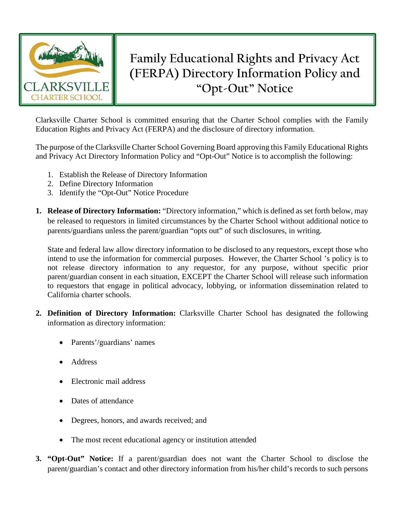

## **Family Educational Rights and Privacy Act (FERPA) Directory Information Policy and "Opt-Out" Notice**

Clarksville Charter School is committed ensuring that the Charter School complies with the Family Education Rights and Privacy Act (FERPA) and the disclosure of directory information.

The purpose of the Clarksville Charter School Governing Board approving this Family Educational Rights and Privacy Act Directory Information Policy and "Opt-Out" Notice is to accomplish the following:

- 1. Establish the Release of Directory Information
- 2. Define Directory Information
- 3. Identify the "Opt-Out" Notice Procedure
- **1. Release of Directory Information:** "Directory information," which is defined as set forth below, may be released to requestors in limited circumstances by the Charter School without additional notice to parents/guardians unless the parent/guardian "opts out" of such disclosures, in writing.

State and federal law allow directory information to be disclosed to any requestors, except those who intend to use the information for commercial purposes. However, the Charter School 's policy is to not release directory information to any requestor, for any purpose, without specific prior parent/guardian consent in each situation, EXCEPT the Charter School will release such information to requestors that engage in political advocacy, lobbying, or information dissemination related to California charter schools.

- **2. Definition of Directory Information:** Clarksville Charter School has designated the following information as directory information:
	- Parents'/guardians' names
	- Address
	- Electronic mail address
	- Dates of attendance
	- Degrees, honors, and awards received; and
	- The most recent educational agency or institution attended
- **3. "Opt-Out" Notice:** If a parent/guardian does not want the Charter School to disclose the parent/guardian's contact and other directory information from his/her child's records to such persons